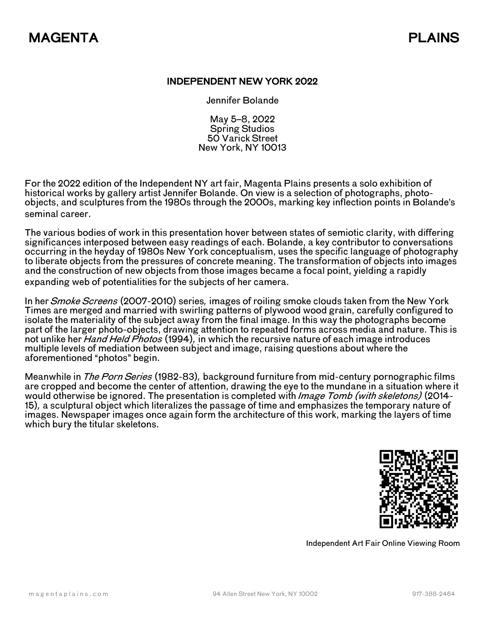## INDEPENDENT NEW YORK 2022

Jennifer Bolande

May 5–8, 2022 Spring Studios 50 Varick Street New York, NY 10013

For the 2022 edition of the Independent NY art fair, Magenta Plains presents a solo exhibition of historical works by gallery artist Jennifer Bolande. On view is a selection of photographs, photoobjects, and sculptures from the 1980s through the 2000s, marking key inflection points in Bolande's seminal career.

The various bodies of work in this presentation hover between states of semiotic clarity, with differing significances interposed between easy readings of each. Bolande, a key contributor to conversations occurring in the heyday of 1980s New York conceptualism, uses the specific language of photography to liberate objects from the pressures of concrete meaning. The transformation of objects into images and the construction of new objects from those images became a focal point, yielding a rapidly expanding web of potentialities for the subjects of her camera.

In her Smoke Screens (2007-2010) series, images of roiling smoke clouds taken from the New York Times are merged and married with swirling patterns of plywood wood grain, carefully configured to isolate the materiality of the subject away from the final image. In this way the photographs become part of the larger photo-objects, drawing attention to repeated forms across media and nature. This is not unlike her *Hand Held Photos* (1994), in which the recursive nature of each image introduces multiple levels of mediation between subject and image, raising questions about where the aforementioned "photos" begin.

Meanwhile in The Porn Series (1982-83), background furniture from mid-century pornographic films are cropped and become the center of attention, drawing the eye to the mundane in a situation where it would otherwise be ignored. The presentation is completed with *Image Tomb (with skeletons)* (2014-15), a sculptural object which literalizes the passage of time and emphasizes the temporary nature of images. Newspaper images once again form the architecture of this work, marking the layers of time which bury the titular skeletons.



Independent Art Fair Online Viewing Room